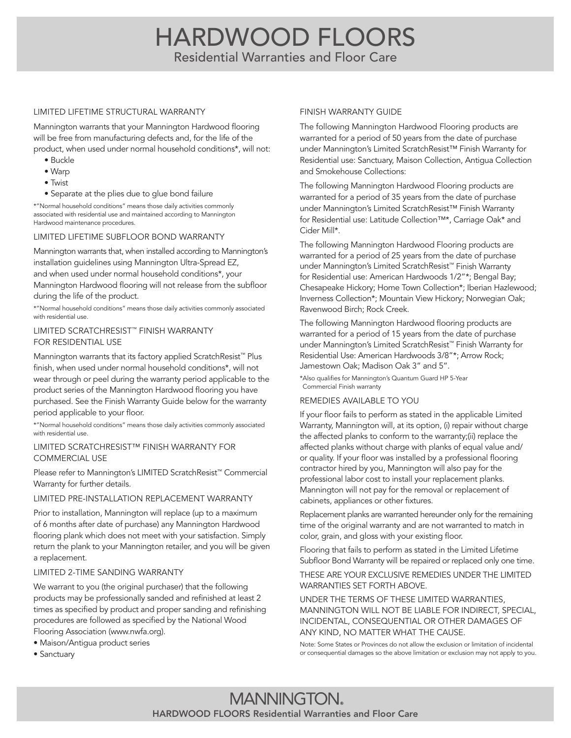# HARDWOOD FLOORS Residential Warranties and Floor Care

#### LIMITED LIFETIME STRUCTURAL WARRANTY

Mannington warrants that your Mannington Hardwood flooring will be free from manufacturing defects and, for the life of the product, when used under normal household conditions\*, will not:

- Buckle
- Warp
- Twist
- Separate at the plies due to glue bond failure

\*"Normal household conditions" means those daily activities commonly associated with residential use and maintained according to Mannington Hardwood maintenance procedures.

# LIMITED LIFETIME SUBFLOOR BOND WARRANTY

Mannington warrants that, when installed according to Mannington's installation guidelines using Mannington Ultra-Spread EZ, and when used under normal household conditions\*, your Mannington Hardwood flooring will not release from the subfloor during the life of the product.

\*"Normal household conditions" means those daily activities commonly associated with residential use.

#### LIMITED SCRATCHRESIST™ FINISH WARRANTY FOR RESIDENTIAL USE

Mannington warrants that its factory applied ScratchResist<sup>™</sup> Plus finish, when used under normal household conditions\*, will not wear through or peel during the warranty period applicable to the product series of the Mannington Hardwood flooring you have purchased. See the Finish Warranty Guide below for the warranty period applicable to your floor.

\*"Normal household conditions" means those daily activities commonly associated with residential use.

#### LIMITED SCRATCHRESIST™ FINISH WARRANTY FOR COMMERCIAL USE

Please refer to Mannington's LIMITED ScratchResist™ Commercial Warranty for further details.

# LIMITED PRE-INSTALLATION REPLACEMENT WARRANTY

Prior to installation, Mannington will replace (up to a maximum of 6 months after date of purchase) any Mannington Hardwood flooring plank which does not meet with your satisfaction. Simply return the plank to your Mannington retailer, and you will be given a replacement.

# LIMITED 2-TIME SANDING WARRANTY

We warrant to you (the original purchaser) that the following products may be professionally sanded and refinished at least 2 times as specified by product and proper sanding and refinishing procedures are followed as specified by the National Wood Flooring Association (www.nwfa.org).

• Maison/Antigua product series

• Sanctuary

#### FINISH WARRANTY GUIDE

The following Mannington Hardwood Flooring products are warranted for a period of 50 years from the date of purchase under Mannington's Limited ScratchResist™ Finish Warranty for Residential use: Sanctuary, Maison Collection, Antigua Collection and Smokehouse Collections:

The following Mannington Hardwood Flooring products are warranted for a period of 35 years from the date of purchase under Mannington's Limited ScratchResist™ Finish Warranty for Residential use: Latitude Collection™\*, Carriage Oak\* and Cider Mill\*.

The following Mannington Hardwood Flooring products are warranted for a period of 25 years from the date of purchase under Mannington's Limited ScratchResist™ Finish Warranty for Residential use: American Hardwoods 1/2"\*; Bengal Bay; Chesapeake Hickory; Home Town Collection\*; Iberian Hazlewood; Inverness Collection\*; Mountain View Hickory; Norwegian Oak; Ravenwood Birch; Rock Creek.

The following Mannington Hardwood flooring products are warranted for a period of 15 years from the date of purchase under Mannington's Limited ScratchResist™ Finish Warranty for Residential Use: American Hardwoods 3/8"\*; Arrow Rock; Jamestown Oak; Madison Oak 3" and 5".

\*Also qualifies for Mannington's Quantum Guard HP 5-Year Commercial Finish warranty

# REMEDIES AVAILABLE TO YOU

If your floor fails to perform as stated in the applicable Limited Warranty, Mannington will, at its option, (i) repair without charge the affected planks to conform to the warranty;(ii) replace the affected planks without charge with planks of equal value and/ or quality. If your floor was installed by a professional flooring contractor hired by you, Mannington will also pay for the professional labor cost to install your replacement planks. Mannington will not pay for the removal or replacement of cabinets, appliances or other fixtures.

Replacement planks are warranted hereunder only for the remaining time of the original warranty and are not warranted to match in color, grain, and gloss with your existing floor.

Flooring that fails to perform as stated in the Limited Lifetime Subfloor Bond Warranty will be repaired or replaced only one time.

#### THESE ARE YOUR EXCLUSIVE REMEDIES UNDER THE LIMITED WARRANTIES SET FORTH ABOVE.

UNDER THE TERMS OF THESE LIMITED WARRANTIES, MANNINGTON WILL NOT BE LIABLE FOR INDIRECT, SPECIAL, INCIDENTAL, CONSEQUENTIAL OR OTHER DAMAGES OF ANY KIND, NO MATTER WHAT THE CAUSE.

Note: Some States or Provinces do not allow the exclusion or limitation of incidental or consequential damages so the above limitation or exclusion may not apply to you.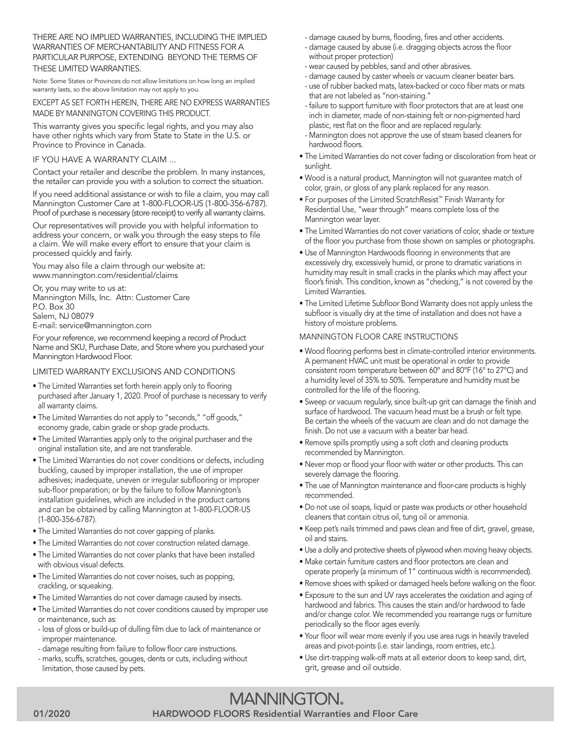THERE ARE NO IMPLIED WARRANTIES, INCLUDING THE IMPLIED WARRANTIES OF MERCHANTABILITY AND FITNESS FOR A PARTICULAR PURPOSE, EXTENDING BEYOND THE TERMS OF THESE LIMITED WARRANTIES.

Note: Some States or Provinces do not allow limitations on how long an implied warranty lasts, so the above limitation may not apply to you.

EXCEPT AS SET FORTH HEREIN, THERE ARE NO EXPRESS WARRANTIES MADE BY MANNINGTON COVERING THIS PRODUCT.

This warranty gives you specific legal rights, and you may also have other rights which vary from State to State in the U.S. or Province to Province in Canada.

#### IF YOU HAVE A WARRANTY CLAIM ...

Contact your retailer and describe the problem. In many instances, the retailer can provide you with a solution to correct the situation.

If you need additional assistance or wish to file a claim, you may call Mannington Customer Care at 1-800-FLOOR-US (1-800-356-6787). Proof of purchase is necessary (store receipt) to verify all warranty claims.

Our representatives will provide you with helpful information to address your concern, or walk you through the easy steps to file a claim. We will make every effort to ensure that your claim is processed quickly and fairly.

You may also file a claim through our website at: www.mannington.com/residential/claims

Or, you may write to us at: Mannington Mills, Inc. Attn: Customer Care P.O. Box 30 Salem, NJ 08079 E-mail: service@mannington.com

For your reference, we recommend keeping a record of Product Name and SKU, Purchase Date, and Store where you purchased your Mannington Hardwood Floor.

# LIMITED WARRANTY EXCLUSIONS AND CONDITIONS

- The Limited Warranties set forth herein apply only to flooring purchased after January 1, 2020. Proof of purchase is necessary to verify all warranty claims.
- The Limited Warranties do not apply to "seconds," "off goods," economy grade, cabin grade or shop grade products.
- The Limited Warranties apply only to the original purchaser and the original installation site, and are not transferable.
- The Limited Warranties do not cover conditions or defects, including buckling, caused by improper installation, the use of improper adhesives; inadequate, uneven or irregular subflooring or improper sub-floor preparation; or by the failure to follow Mannington's installation guidelines, which are included in the product cartons and can be obtained by calling Mannington at 1-800-FLOOR-US (1-800-356-6787).
- The Limited Warranties do not cover gapping of planks.
- The Limited Warranties do not cover construction related damage.
- The Limited Warranties do not cover planks that have been installed with obvious visual defects.
- The Limited Warranties do not cover noises, such as popping, crackling, or squeaking.
- The Limited Warranties do not cover damage caused by insects.
- The Limited Warranties do not cover conditions caused by improper use or maintenance, such as:
- loss of gloss or build-up of dulling film due to lack of maintenance or improper maintenance.
- damage resulting from failure to follow floor care instructions.
- marks, scuffs, scratches, gouges, dents or cuts, including without limitation, those caused by pets.
- damage caused by burns, flooding, fires and other accidents.
- damage caused by abuse (i.e. dragging objects across the floor without proper protection)
- wear caused by pebbles, sand and other abrasives.
- damage caused by caster wheels or vacuum cleaner beater bars.
- use of rubber backed mats, latex-backed or coco fiber mats or mats that are not labeled as "non-staining."
- failure to support furniture with floor protectors that are at least one inch in diameter, made of non-staining felt or non-pigmented hard plastic, rest flat on the floor and are replaced regularly.
- Mannington does not approve the use of steam based cleaners for hardwood floors.
- The Limited Warranties do not cover fading or discoloration from heat or sunlight.
- Wood is a natural product, Mannington will not guarantee match of color, grain, or gloss of any plank replaced for any reason.
- For purposes of the Limited ScratchResist™ Finish Warranty for Residential Use, "wear through" means complete loss of the Mannington wear layer.
- The Limited Warranties do not cover variations of color, shade or texture of the floor you purchase from those shown on samples or photographs.
- Use of Mannington Hardwoods flooring in environments that are excessively dry, excessively humid, or prone to dramatic variations in humidity may result in small cracks in the planks which may affect your floor's finish. This condition, known as "checking," is not covered by the Limited Warranties.
- The Limited Lifetime Subfloor Bond Warranty does not apply unless the subfloor is visually dry at the time of installation and does not have a history of moisture problems.

#### MANNINGTON FLOOR CARE INSTRUCTIONS

- Wood flooring performs best in climate-controlled interior environments. A permanent HVAC unit must be operational in order to provide consistent room temperature between 60° and 80°F (16° to 27°C) and a humidity level of 35% to 50%. Temperature and humidity must be controlled for the life of the flooring.
- Sweep or vacuum regularly, since built-up grit can damage the finish and surface of hardwood. The vacuum head must be a brush or felt type. Be certain the wheels of the vacuum are clean and do not damage the finish. Do not use a vacuum with a beater bar head.
- Remove spills promptly using a soft cloth and cleaning products recommended by Mannington.
- Never mop or flood your floor with water or other products. This can severely damage the flooring.
- The use of Mannington maintenance and floor-care products is highly recommended.
- Do not use oil soaps, liquid or paste wax products or other household cleaners that contain citrus oil, tung oil or ammonia.
- Keep pet's nails trimmed and paws clean and free of dirt, gravel, grease, oil and stains.
- Use a dolly and protective sheets of plywood when moving heavy objects.
- Make certain furniture casters and floor protectors are clean and operate properly (a minimum of 1" continuous width is recommended).
- Remove shoes with spiked or damaged heels before walking on the floor.
- Exposure to the sun and UV rays accelerates the oxidation and aging of hardwood and fabrics. This causes the stain and/or hardwood to fade and/or change color. We recommended you rearrange rugs or furniture periodically so the floor ages evenly.
- Your floor will wear more evenly if you use area rugs in heavily traveled areas and pivot-points (i.e. stair landings, room entries, etc.).
- Use dirt-trapping walk-off mats at all exterior doors to keep sand, dirt, grit, grease and oil outside.